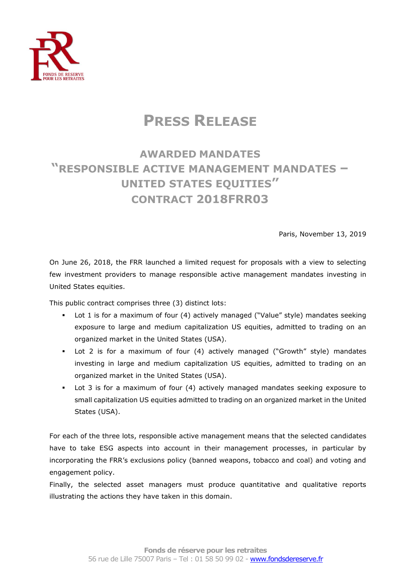

# **PRESS RELEASE**

## **AWARDED MANDATES "RESPONSIBLE ACTIVE MANAGEMENT MANDATES – UNITED STATES EQUITIES" CONTRACT 2018FRR03**

Paris, November 13, 2019

On June 26, 2018, the FRR launched a limited request for proposals with a view to selecting few investment providers to manage responsible active management mandates investing in United States equities.

This public contract comprises three (3) distinct lots:

- Lot 1 is for a maximum of four (4) actively managed ("Value" style) mandates seeking exposure to large and medium capitalization US equities, admitted to trading on an organized market in the United States (USA).
- Lot 2 is for a maximum of four (4) actively managed ("Growth" style) mandates investing in large and medium capitalization US equities, admitted to trading on an organized market in the United States (USA).
- Lot 3 is for a maximum of four (4) actively managed mandates seeking exposure to small capitalization US equities admitted to trading on an organized market in the United States (USA).

For each of the three lots, responsible active management means that the selected candidates have to take ESG aspects into account in their management processes, in particular by incorporating the FRR's exclusions policy (banned weapons, tobacco and coal) and voting and engagement policy.

Finally, the selected asset managers must produce quantitative and qualitative reports illustrating the actions they have taken in this domain.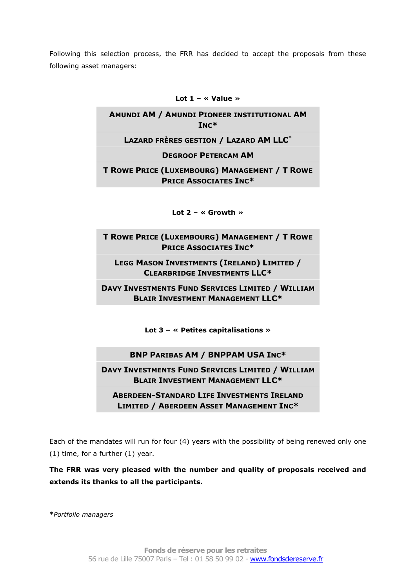Following this selection process, the FRR has decided to accept the proposals from these following asset managers:

#### **Lot 1 – « Value »**

### **AMUNDI AM / AMUNDI PIONEER INSTITUTIONAL AM INC\***

#### **LAZARD FRÈRES GESTION / LAZARD AM LLC**\*

**DEGROOF PETERCAM AM**

**T ROWE PRICE (LUXEMBOURG) MANAGEMENT / T ROWE PRICE ASSOCIATES INC\***

**Lot 2 – « Growth »**

**T ROWE PRICE (LUXEMBOURG) MANAGEMENT / T ROWE PRICE ASSOCIATES INC\***

**LEGG MASON INVESTMENTS (IRELAND) LIMITED / CLEARBRIDGE INVESTMENTS LLC\***

**DAVY INVESTMENTS FUND SERVICES LIMITED / WILLIAM BLAIR INVESTMENT MANAGEMENT LLC\***

**Lot 3 – « Petites capitalisations »**

**BNP PARIBAS AM / BNPPAM USA INC\***

**DAVY INVESTMENTS FUND SERVICES LIMITED / WILLIAM BLAIR INVESTMENT MANAGEMENT LLC\***

**ABERDEEN-STANDARD LIFE INVESTMENTS IRELAND LIMITED / ABERDEEN ASSET MANAGEMENT INC\***

Each of the mandates will run for four (4) years with the possibility of being renewed only one (1) time, for a further (1) year.

**The FRR was very pleased with the number and quality of proposals received and extends its thanks to all the participants.**

\**Portfolio managers*